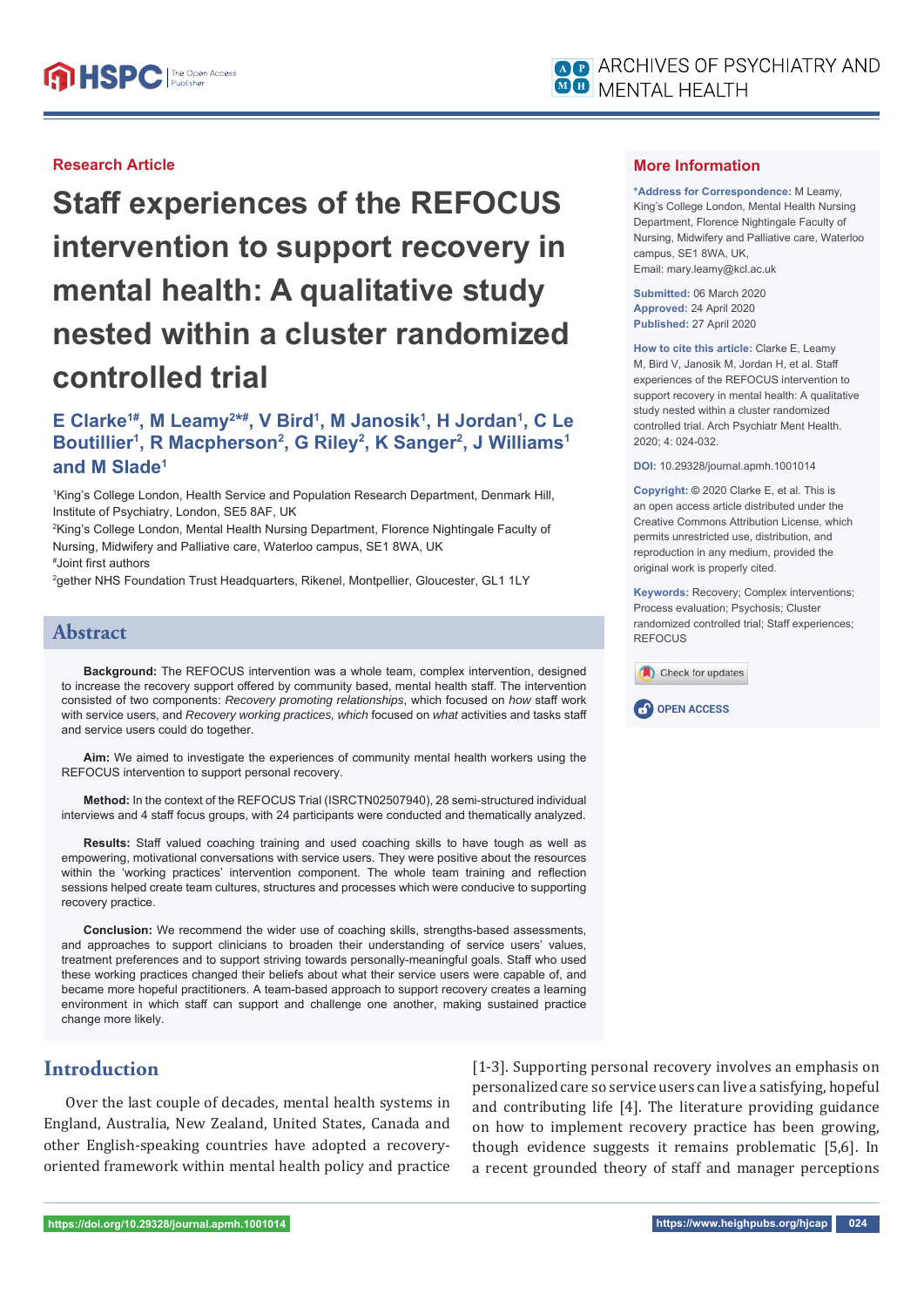

### **Research Article**

**Staff experiences of the REFOCUS intervention to support recovery in mental health: A qualitative study nested within a cluster randomized controlled trial**

## E Clarke<sup>1#</sup>, M Leamy<sup>2\*#</sup>, V Bird<sup>1</sup>, M Janosik<sup>1</sup>, H Jordan<sup>1</sup>, C Le **Boutillier1 , R Macpherson2 , G Riley2 , K Sanger2 , J Williams1 and M Slade1**

1 King's College London, Health Service and Population Research Department, Denmark Hill, Institute of Psychiatry, London, SE5 8AF, UK

2 King's College London, Mental Health Nursing Department, Florence Nightingale Faculty of Nursing, Midwifery and Palliative care, Waterloo campus, SE1 8WA, UK

# Joint fi rst authors

2 gether NHS Foundation Trust Headquarters, Rikenel, Montpellier, Gloucester, GL1 1LY

### **Abstract**

**Background:** The REFOCUS intervention was a whole team, complex intervention, designed to increase the recovery support offered by community based, mental health staff. The intervention consisted of two components: *Recovery promoting relationships*, which focused on *how* staff work with service users, and *Recovery working practices, which* focused on *what* activities and tasks staff and service users could do together.

**Aim:** We aimed to investigate the experiences of community mental health workers using the REFOCUS intervention to support personal recovery.

**Method:** In the context of the REFOCUS Trial (ISRCTN02507940), 28 semi-structured individual interviews and 4 staff focus groups, with 24 participants were conducted and thematically analyzed.

**Results:** Staff valued coaching training and used coaching skills to have tough as well as empowering, motivational conversations with service users. They were positive about the resources within the 'working practices' intervention component. The whole team training and reflection sessions helped create team cultures, structures and processes which were conducive to supporting recovery practice.

**Conclusion:** We recommend the wider use of coaching skills, strengths-based assessments, and approaches to support clinicians to broaden their understanding of service users' values, treatment preferences and to support striving towards personally-meaningful goals. Staff who used these working practices changed their beliefs about what their service users were capable of, and became more hopeful practitioners. A team-based approach to support recovery creates a learning environment in which staff can support and challenge one another, making sustained practice change more likely.

## **Introduction**

Over the last couple of decades, mental health systems in England, Australia, New Zealand, United States, Canada and other English-speaking countries have adopted a recoveryoriented framework within mental health policy and practice [1-3]. Supporting personal recovery involves an emphasis on personalized care so service users can live a satisfying, hopeful and contributing life [4]. The literature providing guidance on how to implement recovery practice has been growing, though evidence suggests it remains problematic [5,6]. In a recent grounded theory of staff and manager perceptions

#### **More Information**

**\*Address for Correspondence:** M Leamy, King's College London, Mental Health Nursing Department, Florence Nightingale Faculty of Nursing, Midwifery and Palliative care, Waterloo campus, SE1 8WA, UK, Email: mary.leamy@kcl.ac.uk

**Submitted:** 06 March 2020 **Approved:** 24 April 2020 **Published:** 27 April 2020

**How to cite this article:** Clarke E, Leamy M, Bird V, Janosik M, Jordan H, et al. Staff experiences of the REFOCUS intervention to support recovery in mental health: A qualitative study nested within a cluster randomized controlled trial. Arch Psychiatr Ment Health. 2020; 4: 024-032.

**DOI:** 10.29328/journal.apmh.1001014

**Copyright: ©** 2020 Clarke E, et al. This is an open access article distributed under the Creative Commons Attribution License, which permits unrestricted use, distribution, and reproduction in any medium, provided the original work is properly cited.

**Keywords:** Recovery; Complex interventions; Process evaluation; Psychosis; Cluster randomized controlled trial; Staff experiences; **REFOCUS** 



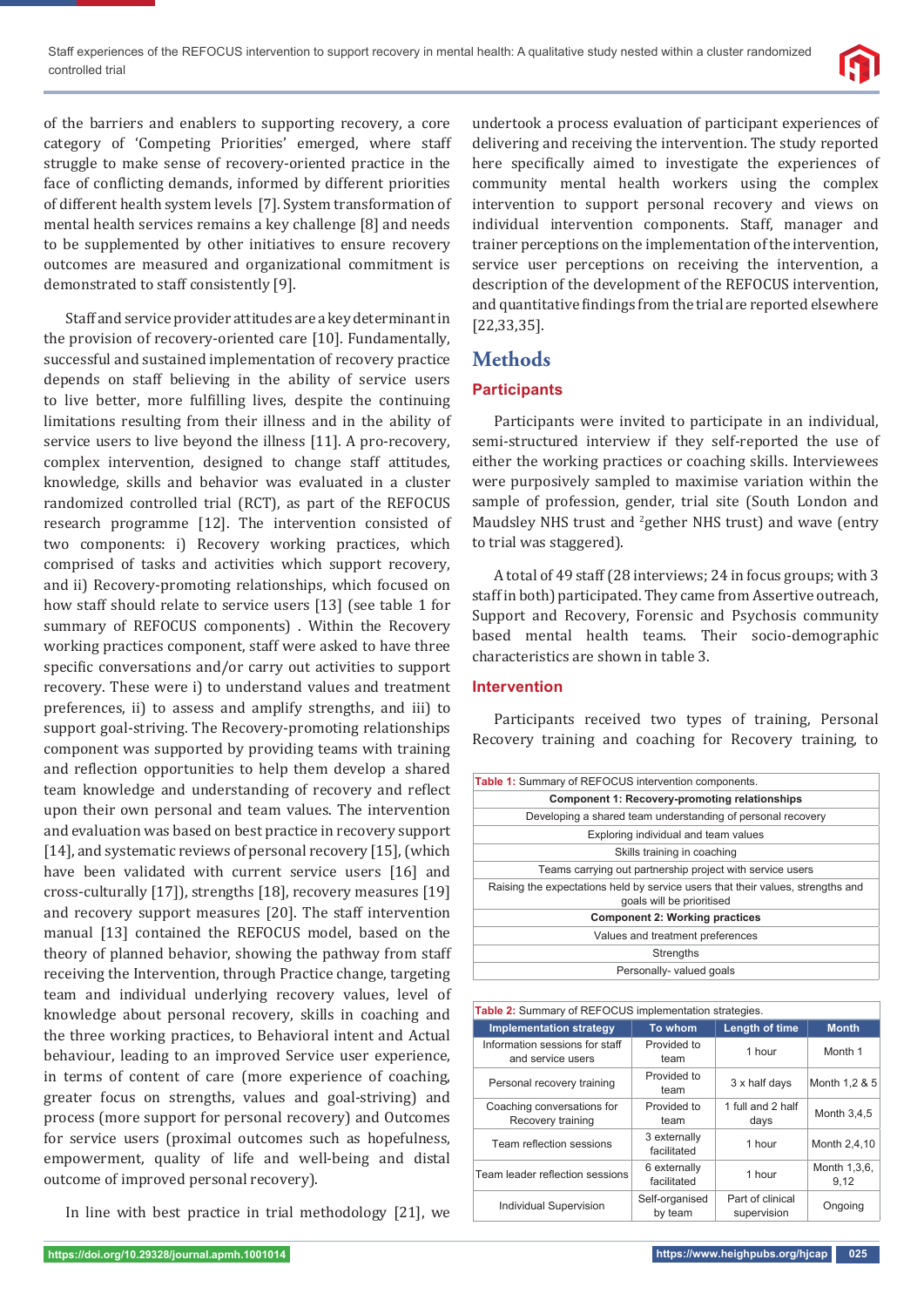

of the barriers and enablers to supporting recovery, a core category of 'Competing Priorities' emerged, where staff struggle to make sense of recovery-oriented practice in the face of conflicting demands, informed by different priorities of different health system levels [7]. System transformation of mental health services remains a key challenge [8] and needs to be supplemented by other initiatives to ensure recovery outcomes are measured and organizational commitment is demonstrated to staff consistently [9].

Staff and service provider attitudes are a key determinant in the provision of recovery-oriented care [10]. Fundamentally, successful and sustained implementation of recovery practice depends on staff believing in the ability of service users to live better, more fulfilling lives, despite the continuing limitations resulting from their illness and in the ability of service users to live beyond the illness [11]. A pro-recovery, complex intervention, designed to change staff attitudes, knowledge, skills and behavior was evaluated in a cluster randomized controlled trial (RCT), as part of the REFOCUS research programme [12]. The intervention consisted of two components: i) Recovery working practices, which comprised of tasks and activities which support recovery, and ii) Recovery-promoting relationships, which focused on how staff should relate to service users [13] (see table 1 for summary of REFOCUS components) . Within the Recovery working practices component, staff were asked to have three specific conversations and/or carry out activities to support recovery. These were i) to understand values and treatment preferences, ii) to assess and amplify strengths, and iii) to support goal-striving. The Recovery-promoting relationships component was supported by providing teams with training and reflection opportunities to help them develop a shared team knowledge and understanding of recovery and reflect upon their own personal and team values. The intervention and evaluation was based on best practice in recovery support [14], and systematic reviews of personal recovery [15], (which have been validated with current service users [16] and cross-culturally [17]), strengths [18], recovery measures [19] and recovery support measures [20]. The staff intervention manual [13] contained the REFOCUS model, based on the theory of planned behavior, showing the pathway from staff receiving the Intervention, through Practice change, targeting team and individual underlying recovery values, level of knowledge about personal recovery, skills in coaching and the three working practices, to Behavioral intent and Actual behaviour, leading to an improved Service user experience, in terms of content of care (more experience of coaching, greater focus on strengths, values and goal-striving) and process (more support for personal recovery) and Outcomes for service users (proximal outcomes such as hopefulness, empowerment, quality of life and well-being and distal outcome of improved personal recovery).

In line with best practice in trial methodology [21], we

undertook a process evaluation of participant experiences of delivering and receiving the intervention. The study reported here specifically aimed to investigate the experiences of community mental health workers using the complex intervention to support personal recovery and views on individual intervention components. Staff, manager and trainer perceptions on the implementation of the intervention, service user perceptions on receiving the intervention, a description of the development of the REFOCUS intervention, and quantitative findings from the trial are reported elsewhere [22,33,35].

## **Methods**

### **Participants**

Participants were invited to participate in an individual, semi-structured interview if they self-reported the use of either the working practices or coaching skills. Interviewees were purposively sampled to maximise variation within the sample of profession, gender, trial site (South London and Maudsley NHS trust and <sup>2</sup>gether NHS trust) and wave (entry to trial was staggered).

A total of 49 staff (28 interviews; 24 in focus groups; with 3 staff in both) participated. They came from Assertive outreach, Support and Recovery, Forensic and Psychosis community based mental health teams. Their socio-demographic characteristics are shown in table 3.

### **Intervention**

Participants received two types of training, Personal Recovery training and coaching for Recovery training, to

| Table 1: Summary of REFOCUS intervention components.                                                         |  |  |
|--------------------------------------------------------------------------------------------------------------|--|--|
| Component 1: Recovery-promoting relationships                                                                |  |  |
| Developing a shared team understanding of personal recovery                                                  |  |  |
| Exploring individual and team values                                                                         |  |  |
| Skills training in coaching                                                                                  |  |  |
| Teams carrying out partnership project with service users                                                    |  |  |
| Raising the expectations held by service users that their values, strengths and<br>goals will be prioritised |  |  |
| <b>Component 2: Working practices</b>                                                                        |  |  |
| Values and treatment preferences                                                                             |  |  |
| Strengths                                                                                                    |  |  |
| Personally- valued goals                                                                                     |  |  |
|                                                                                                              |  |  |

| <b>Table 2:</b> Summary of REFOCUS implementation strategies. |                             |                                 |                      |  |
|---------------------------------------------------------------|-----------------------------|---------------------------------|----------------------|--|
| <b>Implementation strategy</b>                                | To whom                     | <b>Length of time</b>           | <b>Month</b>         |  |
| Information sessions for staff<br>and service users           | Provided to<br>team         | 1 hour                          | Month 1              |  |
| Personal recovery training                                    | Provided to<br>team         |                                 | Month 1,2 & 5        |  |
| Coaching conversations for<br>Recovery training               | Provided to<br>team         | 1 full and 2 half<br>days       | Month 3,4,5          |  |
| Team reflection sessions                                      | 3 externally<br>facilitated | 1 hour                          | Month 2,4,10         |  |
| Team leader reflection sessions                               | 6 externally<br>facilitated |                                 | Month 1,3,6,<br>9,12 |  |
| Individual Supervision                                        | Self-organised<br>by team   | Part of clinical<br>supervision | Ongoing              |  |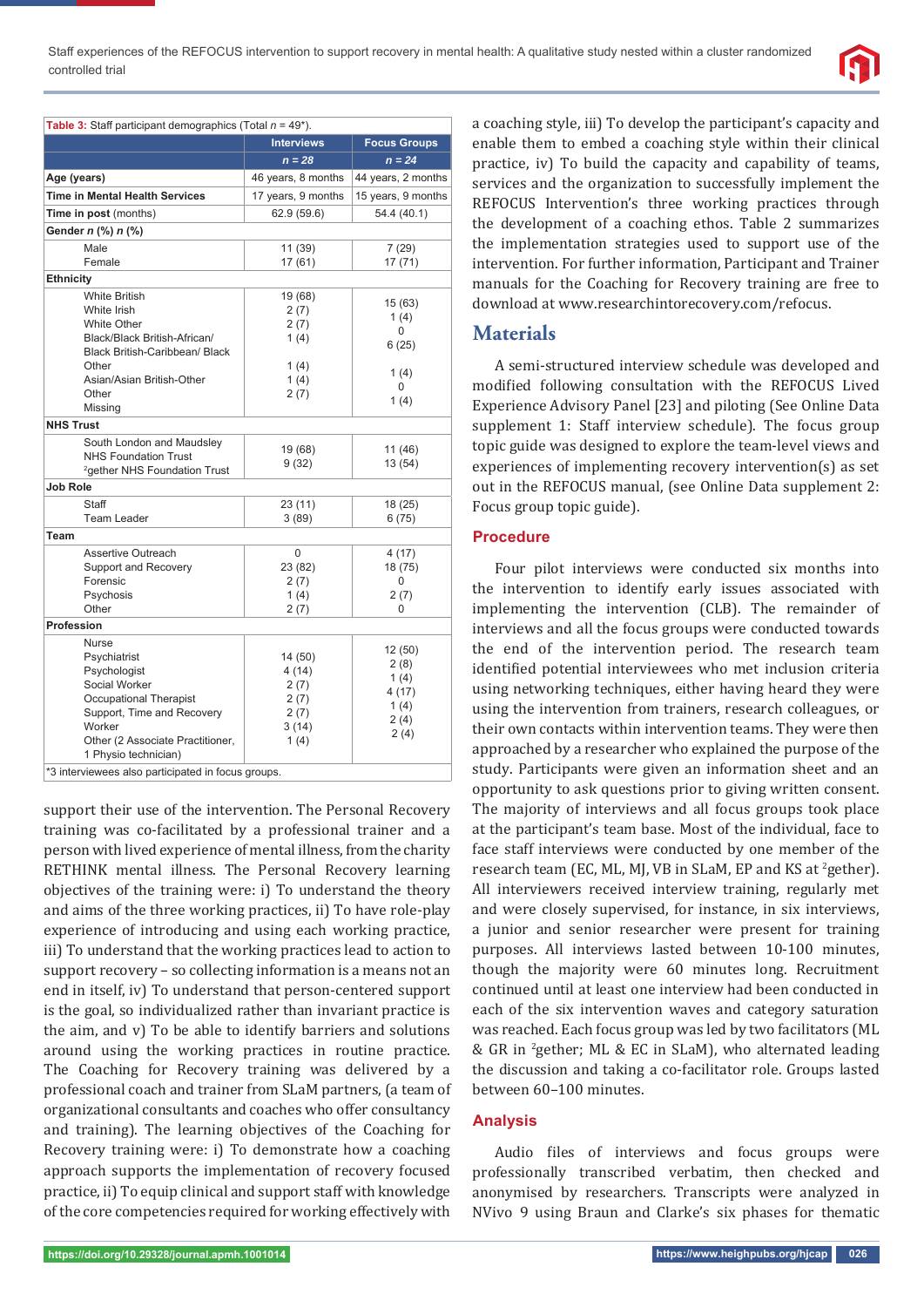

| Table 3: Staff participant demographics (Total $n = 49$ <sup>*</sup> ). |                    |                     |  |  |
|-------------------------------------------------------------------------|--------------------|---------------------|--|--|
|                                                                         | <b>Interviews</b>  | <b>Focus Groups</b> |  |  |
|                                                                         | $n = 28$           | $n = 24$            |  |  |
| Age (years)                                                             | 46 years, 8 months | 44 years, 2 months  |  |  |
| <b>Time in Mental Health Services</b>                                   | 17 years, 9 months | 15 years, 9 months  |  |  |
| Time in post (months)                                                   | 62.9 (59.6)        | 54.4 (40.1)         |  |  |
| Gender n (%) n (%)                                                      |                    |                     |  |  |
| Male                                                                    | 11 (39)            | 7(29)               |  |  |
| Female                                                                  | 17 (61)            | 17 (71)             |  |  |
| <b>Ethnicity</b>                                                        |                    |                     |  |  |
| <b>White British</b>                                                    | 19 (68)            | 15 (63)             |  |  |
| White Irish                                                             | 2(7)               | 1(4)                |  |  |
| <b>White Other</b>                                                      | 2(7)               | $\Omega$            |  |  |
| Black/Black British-African/                                            | 1(4)               | 6(25)               |  |  |
| <b>Black British-Caribbean/ Black</b>                                   |                    |                     |  |  |
| Other                                                                   | 1(4)               | 1(4)                |  |  |
| Asian/Asian British-Other                                               | 1(4)               | $\Omega$            |  |  |
| Other                                                                   | 2(7)               | 1(4)                |  |  |
| Missing                                                                 |                    |                     |  |  |
| <b>NHS Trust</b>                                                        |                    |                     |  |  |
| South London and Maudsley                                               | 19 (68)            | 11 (46)             |  |  |
| <b>NHS Foundation Trust</b>                                             | 9(32)              | 13(54)              |  |  |
| <sup>2</sup> gether NHS Foundation Trust                                |                    |                     |  |  |
| Job Role                                                                |                    |                     |  |  |
| Staff                                                                   | 23 (11)            | 18 (25)             |  |  |
| <b>Team Leader</b>                                                      | 3(89)              | 6(75)               |  |  |
| Team                                                                    |                    |                     |  |  |
| Assertive Outreach                                                      | 0                  | 4 (17)              |  |  |
| Support and Recovery                                                    | 23 (82)            | 18 (75)             |  |  |
| Forensic                                                                | 2(7)               | 0                   |  |  |
| Psychosis                                                               | 1(4)               | 2(7)                |  |  |
| Other                                                                   | 2(7)               | <sup>0</sup>        |  |  |
| Profession                                                              |                    |                     |  |  |
| <b>Nurse</b>                                                            |                    | 12 (50)             |  |  |
| Psychiatrist                                                            | 14 (50)            | 2(8)                |  |  |
| Psychologist                                                            | 4 (14)             | 1(4)                |  |  |
| Social Worker                                                           | 2(7)               |                     |  |  |
| Occupational Therapist                                                  | 2(7)               | 4(17)               |  |  |
| Support, Time and Recovery                                              | 2(7)               | 1(4)                |  |  |
| Worker                                                                  | 3(14)              | 2(4)                |  |  |
| Other (2 Associate Practitioner,                                        | 1(4)               | 2(4)                |  |  |
| 1 Physio technician)                                                    |                    |                     |  |  |
| *3 interviewees also participated in focus groups.                      |                    |                     |  |  |

support their use of the intervention. The Personal Recovery training was co-facilitated by a professional trainer and a person with lived experience of mental illness, from the charity RETHINK mental illness. The Personal Recovery learning objectives of the training were: i) To understand the theory and aims of the three working practices, ii) To have role-play experience of introducing and using each working practice, iii) To understand that the working practices lead to action to support recovery – so collecting information is a means not an end in itself, iv) To understand that person-centered support is the goal, so individualized rather than invariant practice is the aim, and v) To be able to identify barriers and solutions around using the working practices in routine practice. The Coaching for Recovery training was delivered by a professional coach and trainer from SLaM partners, (a team of organizational consultants and coaches who offer consultancy and training). The learning objectives of the Coaching for Recovery training were: i) To demonstrate how a coaching approach supports the implementation of recovery focused practice, ii) To equip clinical and support staff with knowledge of the core competencies required for working effectively with

a coaching style, iii) To develop the participant's capacity and enable them to embed a coaching style within their clinical practice, iv) To build the capacity and capability of teams, services and the organization to successfully implement the REFOCUS Intervention's three working practices through the development of a coaching ethos. Table 2 summarizes the implementation strategies used to support use of the intervention. For further information, Participant and Trainer manuals for the Coaching for Recovery training are free to download at www.researchintorecovery.com/refocus.

## **Materials**

A semi-structured interview schedule was developed and modified following consultation with the REFOCUS Lived Experience Advisory Panel [23] and piloting (See Online Data supplement 1: Staff interview schedule). The focus group topic guide was designed to explore the team-level views and experiences of implementing recovery intervention(s) as set out in the REFOCUS manual, (see Online Data supplement 2: Focus group topic guide).

## **Procedure**

Four pilot interviews were conducted six months into the intervention to identify early issues associated with implementing the intervention (CLB). The remainder of interviews and all the focus groups were conducted towards the end of the intervention period. The research team identified potential interviewees who met inclusion criteria using networking techniques, either having heard they were using the intervention from trainers, research colleagues, or their own contacts within intervention teams. They were then approached by a researcher who explained the purpose of the study. Participants were given an information sheet and an opportunity to ask questions prior to giving written consent. The majority of interviews and all focus groups took place at the participant's team base. Most of the individual, face to face staff interviews were conducted by one member of the research team (EC, ML, MJ, VB in SLaM, EP and KS at <sup>2</sup>gether). All interviewers received interview training, regularly met and were closely supervised, for instance, in six interviews, a junior and senior researcher were present for training purposes. All interviews lasted between 10-100 minutes, though the majority were 60 minutes long. Recruitment continued until at least one interview had been conducted in each of the six intervention waves and category saturation was reached. Each focus group was led by two facilitators (ML & GR in 2 gether; ML & EC in SLaM), who alternated leading the discussion and taking a co-facilitator role. Groups lasted between 60–100 minutes.

### **Analysis**

Audio files of interviews and focus groups were professionally transcribed verbatim, then checked and anonymised by researchers. Transcripts were analyzed in NVivo 9 using Braun and Clarke's six phases for thematic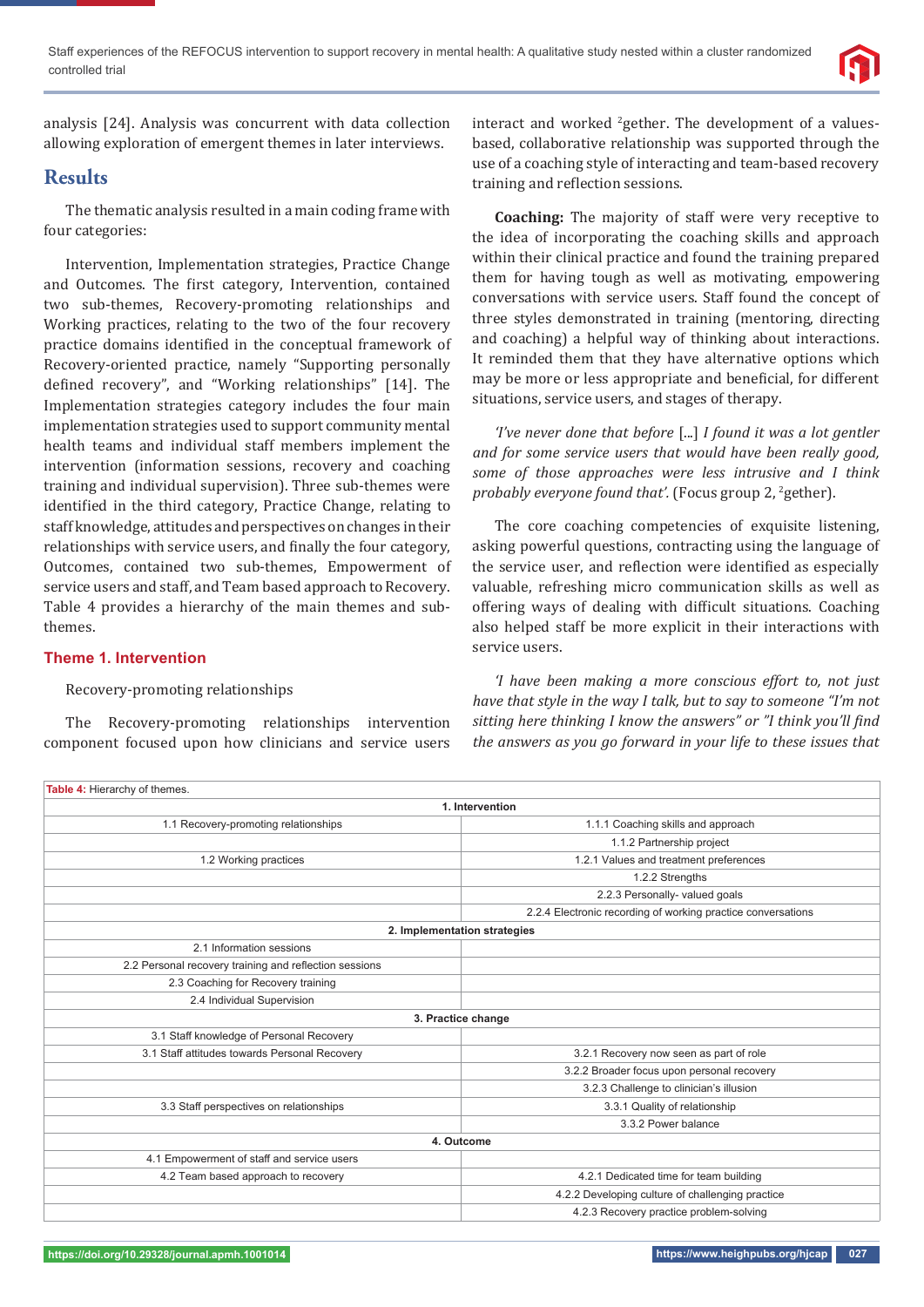

analysis [24]. Analysis was concurrent with data collection allowing exploration of emergent themes in later interviews.

## **Results**

The thematic analysis resulted in a main coding frame with four categories:

Intervention, Implementation strategies, Practice Change and Outcomes. The first category, Intervention, contained two sub-themes, Recovery-promoting relationships and Working practices, relating to the two of the four recovery practice domains identified in the conceptual framework of Recovery-oriented practice, namely "Supporting personally defined recovery", and "Working relationships" [14]. The Implementation strategies category includes the four main implementation strategies used to support community mental health teams and individual staff members implement the intervention (information sessions, recovery and coaching training and individual supervision). Three sub-themes were identified in the third category, Practice Change, relating to staff knowledge, attitudes and perspectives on changes in their relationships with service users, and finally the four category, Outcomes, contained two sub-themes, Empowerment of service users and staff, and Team based approach to Recovery. Table 4 provides a hierarchy of the main themes and subthemes.

### **Theme 1. Intervention**

#### Recovery-promoting relationships

The Recovery-promoting relationships intervention component focused upon how clinicians and service users

interact and worked  $2$ gether. The development of a valuesbased, collaborative relationship was supported through the use of a coaching style of interacting and team-based recovery training and reflection sessions.

**Coaching:** The majority of staff were very receptive to the idea of incorporating the coaching skills and approach within their clinical practice and found the training prepared them for having tough as well as motivating, empowering conversations with service users. Staff found the concept of three styles demonstrated in training (mentoring, directing and coaching) a helpful way of thinking about interactions. It reminded them that they have alternative options which may be more or less appropriate and beneficial, for different situations, service users, and stages of therapy.

*'I've never done that before* [...] *I found it was a lot gentler and for some service users that would have been really good, some of those approaches were less intrusive and I think*  probably everyone found that'. (Focus group 2, <sup>2</sup>gether).

The core coaching competencies of exquisite listening, asking powerful questions, contracting using the language of the service user, and reflection were identified as especially valuable, refreshing micro communication skills as well as offering ways of dealing with difficult situations. Coaching also helped staff be more explicit in their interactions with service users.

*'I have been making a more conscious effort to, not just have that style in the way I talk, but to say to someone "I'm not sitting here thinking I know the answers" or "I think you'll find the answers as you go forward in your life to these issues that* 

| Table 4: Hierarchy of themes.                          |                                                              |  |  |  |
|--------------------------------------------------------|--------------------------------------------------------------|--|--|--|
| 1. Intervention                                        |                                                              |  |  |  |
| 1.1 Recovery-promoting relationships                   | 1.1.1 Coaching skills and approach                           |  |  |  |
|                                                        | 1.1.2 Partnership project                                    |  |  |  |
| 1.2 Working practices                                  | 1.2.1 Values and treatment preferences                       |  |  |  |
|                                                        | 1.2.2 Strengths                                              |  |  |  |
|                                                        | 2.2.3 Personally- valued goals                               |  |  |  |
|                                                        | 2.2.4 Electronic recording of working practice conversations |  |  |  |
| 2. Implementation strategies                           |                                                              |  |  |  |
| 2.1 Information sessions                               |                                                              |  |  |  |
| 2.2 Personal recovery training and reflection sessions |                                                              |  |  |  |
| 2.3 Coaching for Recovery training                     |                                                              |  |  |  |
| 2.4 Individual Supervision                             |                                                              |  |  |  |
|                                                        | 3. Practice change                                           |  |  |  |
| 3.1 Staff knowledge of Personal Recovery               |                                                              |  |  |  |
| 3.1 Staff attitudes towards Personal Recovery          | 3.2.1 Recovery now seen as part of role                      |  |  |  |
|                                                        | 3.2.2 Broader focus upon personal recovery                   |  |  |  |
|                                                        | 3.2.3 Challenge to clinician's illusion                      |  |  |  |
| 3.3 Staff perspectives on relationships                | 3.3.1 Quality of relationship                                |  |  |  |
|                                                        | 3.3.2 Power balance                                          |  |  |  |
|                                                        | 4. Outcome                                                   |  |  |  |
| 4.1 Empowerment of staff and service users             |                                                              |  |  |  |
| 4.2 Team based approach to recovery                    | 4.2.1 Dedicated time for team building                       |  |  |  |
|                                                        | 4.2.2 Developing culture of challenging practice             |  |  |  |
|                                                        | 4.2.3 Recovery practice problem-solving                      |  |  |  |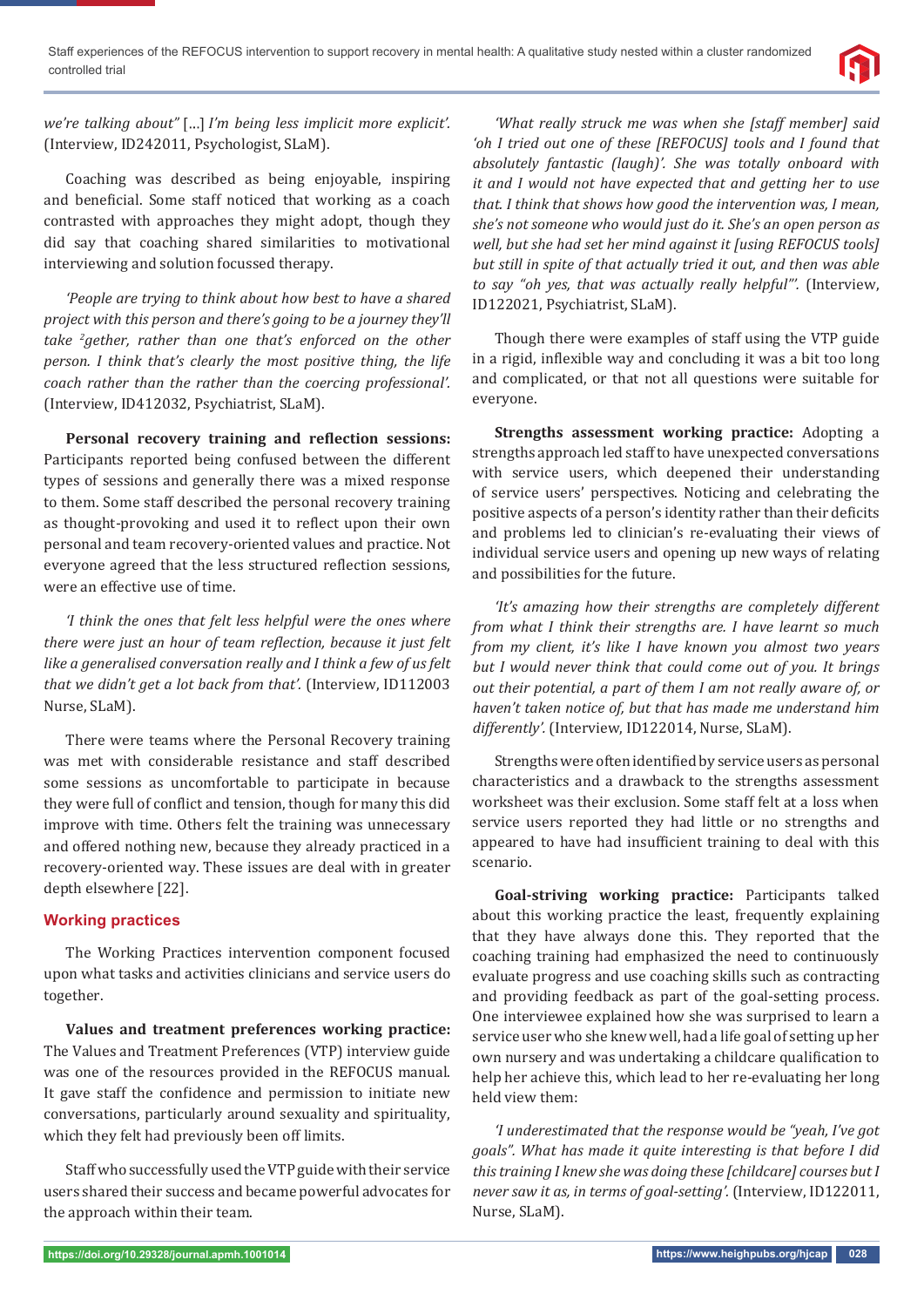

*we're talking about" I'm being less implicit more explicit'.*  (Interview, ID242011, Psychologist, SLaM).

Coaching was described as being enjoyable, inspiring and beneficial. Some staff noticed that working as a coach contrasted with approaches they might adopt, though they did say that coaching shared similarities to motivational interviewing and solution focussed therapy.

*'People are trying to think about how best to have a shared project with this person and there's going to be a journey they'll take 2 gether, rather than one that's enforced on the other person. I think that's clearly the most positive thing, the life coach rather than the rather than the coercing professional'.*  (Interview, ID412032, Psychiatrist, SLaM).

**Personal recovery training and reflection sessions:** Participants reported being confused between the different types of sessions and generally there was a mixed response to them. Some staff described the personal recovery training as thought-provoking and used it to reflect upon their own personal and team recovery-oriented values and practice. Not everyone agreed that the less structured reflection sessions, were an effective use of time.

*'I think the ones that felt less helpful were the ones where there were just an hour of team reϔlection, because it just felt like a generalised conversation really and I think a few of us felt that we didn't get a lot back from that'.* (Interview, ID112003 Nurse, SLaM).

There were teams where the Personal Recovery training was met with considerable resistance and staff described some sessions as uncomfortable to participate in because they were full of conflict and tension, though for many this did improve with time. Others felt the training was unnecessary and offered nothing new, because they already practiced in a recovery-oriented way. These issues are deal with in greater depth elsewhere [22].

## **Working practices**

The Working Practices intervention component focused upon what tasks and activities clinicians and service users do together.

**Values and treatment preferences working practice:** The Values and Treatment Preferences (VTP) interview guide was one of the resources provided in the REFOCUS manual. It gave staff the confidence and permission to initiate new conversations, particularly around sexuality and spirituality, which they felt had previously been off limits.

Staff who successfully used the VTP guide with their service users shared their success and became powerful advocates for the approach within their team.

*'What really struck me was when she [staff member] said 'oh I tried out one of these [REFOCUS] tools and I found that absolutely fantastic (laugh)'. She was totally onboard with it and I would not have expected that and getting her to use that. I think that shows how good the intervention was, I mean, she's not someone who would just do it. She's an open person as well, but she had set her mind against it [using REFOCUS tools] but still in spite of that actually tried it out, and then was able to say "oh yes, that was actually really helpful"'.* (Interview, ID122021, Psychiatrist, SLaM).

Though there were examples of staff using the VTP guide in a rigid, inflexible way and concluding it was a bit too long and complicated, or that not all questions were suitable for everyone.

**Strengths assessment working practice:** Adopting a strengths approach led staff to have unexpected conversations with service users, which deepened their understanding of service users' perspectives. Noticing and celebrating the positive aspects of a person's identity rather than their deficits and problems led to clinician's re-evaluating their views of individual service users and opening up new ways of relating and possibilities for the future.

*'It's amazing how their strengths are completely different from what I think their strengths are. I have learnt so much from my client, it's like I have known you almost two years but I would never think that could come out of you. It brings out their potential, a part of them I am not really aware of, or haven't taken notice of, but that has made me understand him differently'.* (Interview, ID122014, Nurse, SLaM).

Strengths were often identified by service users as personal characteristics and a drawback to the strengths assessment worksheet was their exclusion. Some staff felt at a loss when service users reported they had little or no strengths and appeared to have had insufficient training to deal with this scenario.

**Goal-striving working practice:** Participants talked about this working practice the least, frequently explaining that they have always done this. They reported that the coaching training had emphasized the need to continuously evaluate progress and use coaching skills such as contracting and providing feedback as part of the goal-setting process. One interviewee explained how she was surprised to learn a service user who she knew well, had a life goal of setting up her own nursery and was undertaking a childcare qualification to help her achieve this, which lead to her re-evaluating her long held view them:

*'I underestimated that the response would be "yeah, I've got goals". What has made it quite interesting is that before I did this training I knew she was doing these [childcare] courses but I never saw it as, in terms of goal-setting'.* (Interview, ID122011, Nurse, SLaM).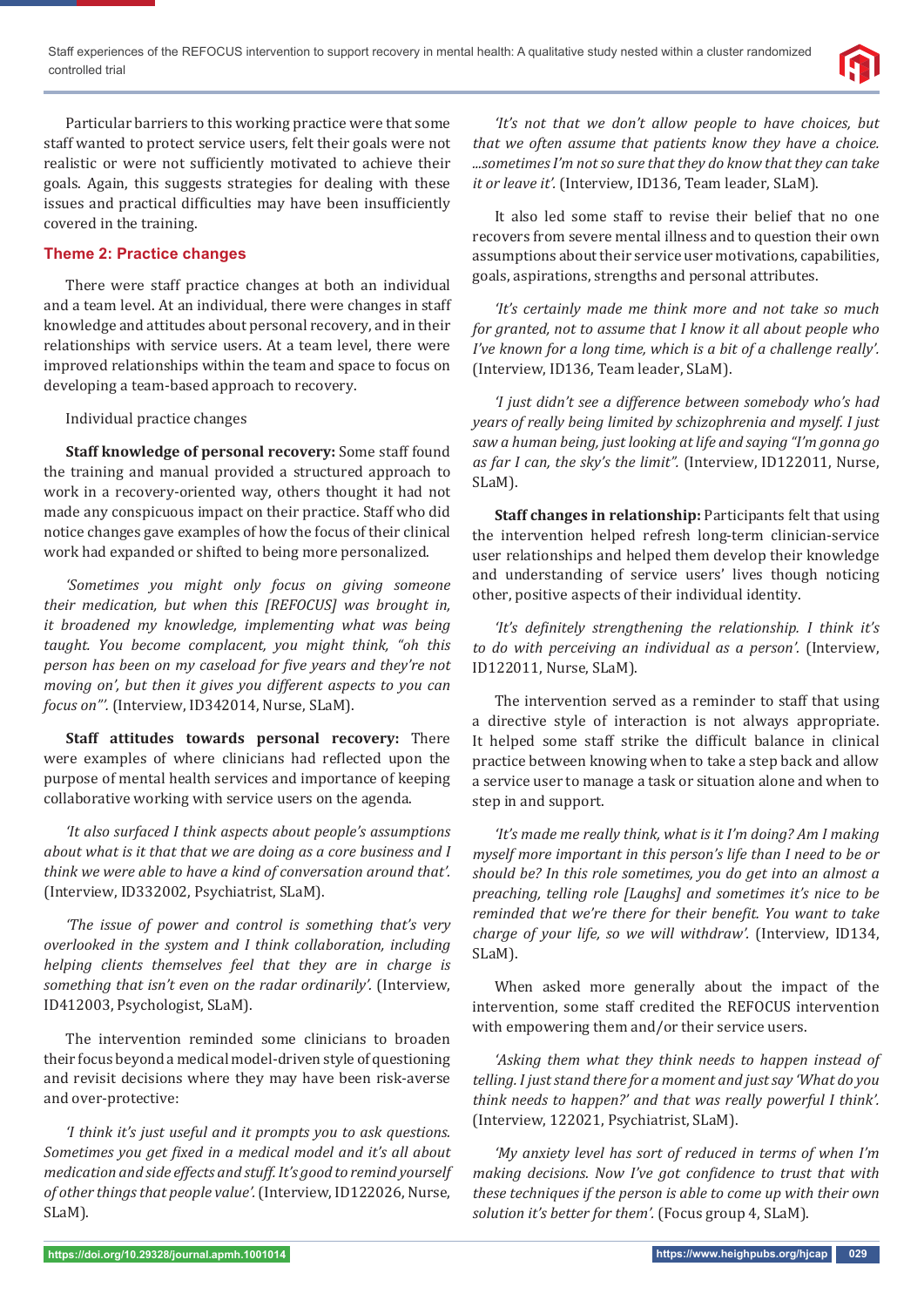

Particular barriers to this working practice were that some staff wanted to protect service users, felt their goals were not realistic or were not sufficiently motivated to achieve their goals. Again, this suggests strategies for dealing with these issues and practical difficulties may have been insufficiently covered in the training.

## **Theme 2: Practice changes**

There were staff practice changes at both an individual and a team level. At an individual, there were changes in staff knowledge and attitudes about personal recovery, and in their relationships with service users. At a team level, there were improved relationships within the team and space to focus on developing a team-based approach to recovery.

Individual practice changes

**Staff knowledge of personal recovery:** Some staff found the training and manual provided a structured approach to work in a recovery-oriented way, others thought it had not made any conspicuous impact on their practice. Staff who did notice changes gave examples of how the focus of their clinical work had expanded or shifted to being more personalized.

*'Sometimes you might only focus on giving someone their medication, but when this [REFOCUS] was brought in, it broadened my knowledge, implementing what was being taught. You become complacent, you might think, "oh this person has been on my caseload for five years and they're not moving on', but then it gives you different aspects to you can focus on"'.* (Interview, ID342014, Nurse, SLaM).

**Staff attitudes towards personal recovery:** There were examples of where clinicians had reflected upon the purpose of mental health services and importance of keeping collaborative working with service users on the agenda.

*'It also surfaced I think aspects about people's assumptions about what is it that that we are doing as a core business and I think we were able to have a kind of conversation around that'.*  (Interview, ID332002, Psychiatrist, SLaM).

*'The issue of power and control is something that's very overlooked in the system and I think collaboration, including helping clients themselves feel that they are in charge is something that isn't even on the radar ordinarily'.* (Interview, ID412003, Psychologist, SLaM).

The intervention reminded some clinicians to broaden their focus beyond a medical model-driven style of questioning and revisit decisions where they may have been risk-averse and over-protective:

*'I think it's just useful and it prompts you to ask questions. Sometimes you get ϔixed in a medical model and it's all about medication and side effects and stuff. It's good to remind yourself of other things that people value'.* (Interview, ID122026, Nurse, SLaM).

*'It's not that we don't allow people to have choices, but that we often assume that patients know they have a choice. ...sometimes I'm not so sure that they do know that they can take it or leave it'.* (Interview, ID136, Team leader, SLaM).

It also led some staff to revise their belief that no one recovers from severe mental illness and to question their own assumptions about their service user motivations, capabilities, goals, aspirations, strengths and personal attributes.

*'It's certainly made me think more and not take so much for granted, not to assume that I know it all about people who I've known for a long time, which is a bit of a challenge really'.*  (Interview, ID136, Team leader, SLaM).

*'I just didn't see a difference between somebody who's had years of really being limited by schizophrenia and myself. I just saw a human being, just looking at life and saying "I'm gonna go as far I can, the sky's the limit".* (Interview, ID122011, Nurse, SLaM).

**Staff changes in relationship:** Participants felt that using the intervention helped refresh long-term clinician-service user relationships and helped them develop their knowledge and understanding of service users' lives though noticing other, positive aspects of their individual identity.

*'It's definitely strengthening the relationship. I think it's to do with perceiving an individual as a person'.* (Interview, ID122011, Nurse, SLaM).

The intervention served as a reminder to staff that using a directive style of interaction is not always appropriate. It helped some staff strike the difficult balance in clinical practice between knowing when to take a step back and allow a service user to manage a task or situation alone and when to step in and support.

*'It's made me really think, what is it I'm doing? Am I making myself more important in this person's life than I need to be or should be? In this role sometimes, you do get into an almost a preaching, telling role [Laughs] and sometimes it's nice to be reminded that we're there for their benefit. You want to take charge of your life, so we will withdraw'.* (Interview, ID134, SLaM).

When asked more generally about the impact of the intervention, some staff credited the REFOCUS intervention with empowering them and/or their service users.

*'Asking them what they think needs to happen instead of telling. I just stand there for a moment and just say 'What do you think needs to happen?' and that was really powerful I think'.* (Interview, 122021, Psychiatrist, SLaM).

*'My anxiety level has sort of reduced in terms of when I'm making decisions. Now I've got confidence to trust that with these techniques if the person is able to come up with their own solution it's better for them'.* (Focus group 4, SLaM).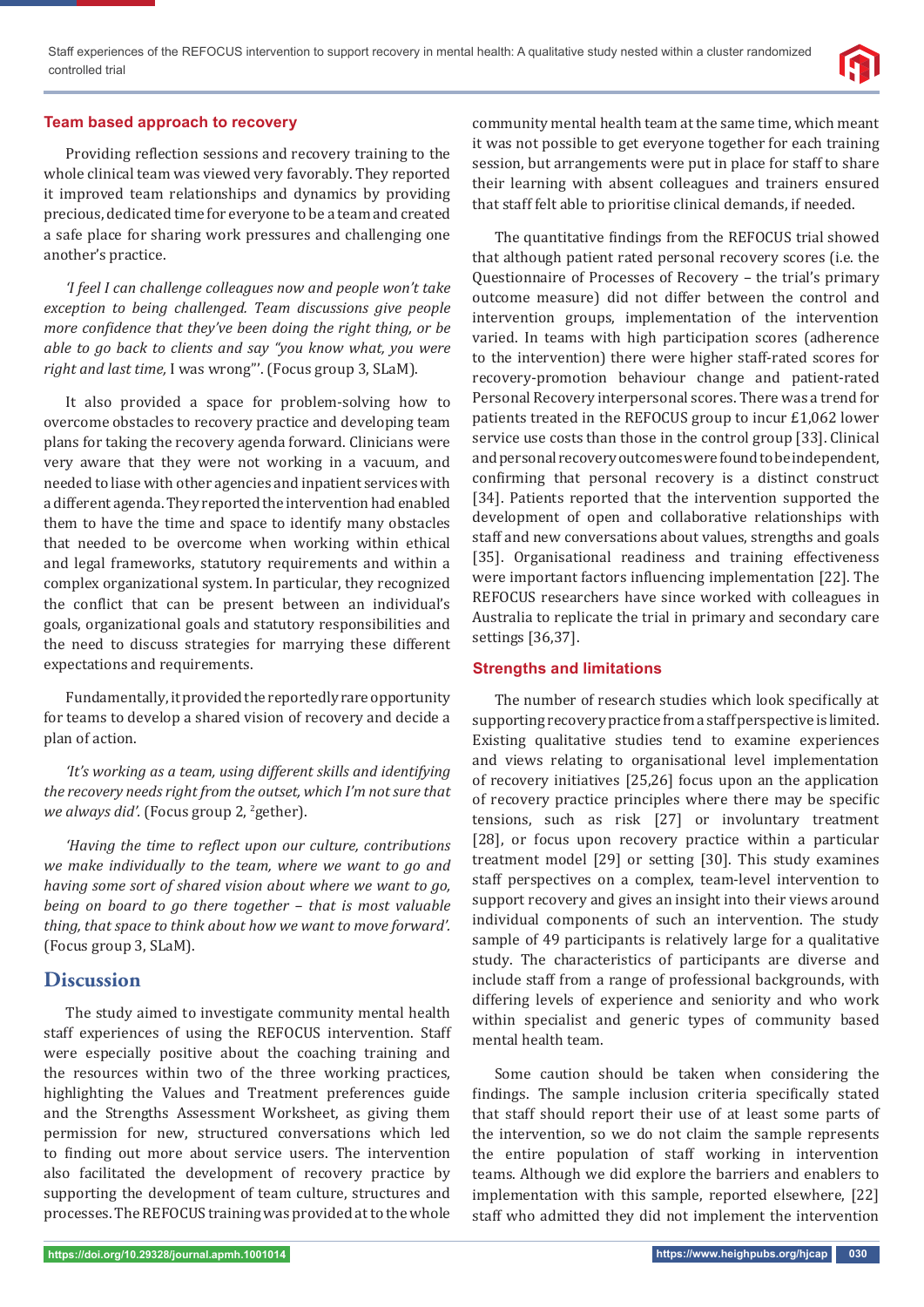

### **Team based approach to recovery**

Providing reflection sessions and recovery training to the whole clinical team was viewed very favorably. They reported it improved team relationships and dynamics by providing precious, dedicated time for everyone to be a team and created a safe place for sharing work pressures and challenging one another's practice.

*'I feel I can challenge colleagues now and people won't take exception to being challenged. Team discussions give people more confidence that they've been doing the right thing, or be able to go back to clients and say "you know what, you were right and last time,* I was wrong"'. (Focus group 3, SLaM).

It also provided a space for problem-solving how to overcome obstacles to recovery practice and developing team plans for taking the recovery agenda forward. Clinicians were very aware that they were not working in a vacuum, and needed to liase with other agencies and inpatient services with a different agenda. They reported the intervention had enabled them to have the time and space to identify many obstacles that needed to be overcome when working within ethical and legal frameworks, statutory requirements and within a complex organizational system. In particular, they recognized the conflict that can be present between an individual's goals, organizational goals and statutory responsibilities and the need to discuss strategies for marrying these different expectations and requirements.

Fundamentally, it provided the reportedly rare opportunity for teams to develop a shared vision of recovery and decide a plan of action.

*'It's working as a team, using different skills and identifying the recovery needs right from the outset, which I'm not sure that*  we always did'. (Focus group 2, <sup>2</sup>gether).

*'Having the time to reϔlect upon our culture, contributions we make individually to the team, where we want to go and having some sort of shared vision about where we want to go, being on board to go there together – that is most valuable thing, that space to think about how we want to move forward'.*  (Focus group 3, SLaM).

## **Discussion**

The study aimed to investigate community mental health staff experiences of using the REFOCUS intervention. Staff were especially positive about the coaching training and the resources within two of the three working practices, highlighting the Values and Treatment preferences guide and the Strengths Assessment Worksheet, as giving them permission for new, structured conversations which led to finding out more about service users. The intervention also facilitated the development of recovery practice by supporting the development of team culture, structures and processes. The REFOCUS training was provided at to the whole

community mental health team at the same time, which meant it was not possible to get everyone together for each training session, but arrangements were put in place for staff to share their learning with absent colleagues and trainers ensured that staff felt able to prioritise clinical demands, if needed.

The quantitative findings from the REFOCUS trial showed that although patient rated personal recovery scores (i.e. the Questionnaire of Processes of Recovery – the trial's primary outcome measure) did not differ between the control and intervention groups, implementation of the intervention varied. In teams with high participation scores (adherence to the intervention) there were higher staff-rated scores for recovery-promotion behaviour change and patient-rated Personal Recovery interpersonal scores. There was a trend for patients treated in the REFOCUS group to incur £1,062 lower service use costs than those in the control group [33]. Clinical and personal recovery outcomes were found to be independent, confirming that personal recovery is a distinct construct [34]. Patients reported that the intervention supported the development of open and collaborative relationships with staff and new conversations about values, strengths and goals [35]. Organisational readiness and training effectiveness were important factors influencing implementation [22]. The REFOCUS researchers have since worked with colleagues in Australia to replicate the trial in primary and secondary care settings [36,37].

### **Strengths and limitations**

The number of research studies which look specifically at supporting recovery practice from a staff perspective is limited. Existing qualitative studies tend to examine experiences and views relating to organisational level implementation of recovery initiatives [25,26] focus upon an the application of recovery practice principles where there may be specific tensions, such as risk [27] or involuntary treatment [28], or focus upon recovery practice within a particular treatment model [29] or setting [30]. This study examines staff perspectives on a complex, team-level intervention to support recovery and gives an insight into their views around individual components of such an intervention. The study sample of 49 participants is relatively large for a qualitative study. The characteristics of participants are diverse and include staff from a range of professional backgrounds, with differing levels of experience and seniority and who work within specialist and generic types of community based mental health team.

Some caution should be taken when considering the findings. The sample inclusion criteria specifically stated that staff should report their use of at least some parts of the intervention, so we do not claim the sample represents the entire population of staff working in intervention teams. Although we did explore the barriers and enablers to implementation with this sample, reported elsewhere, [22] staff who admitted they did not implement the intervention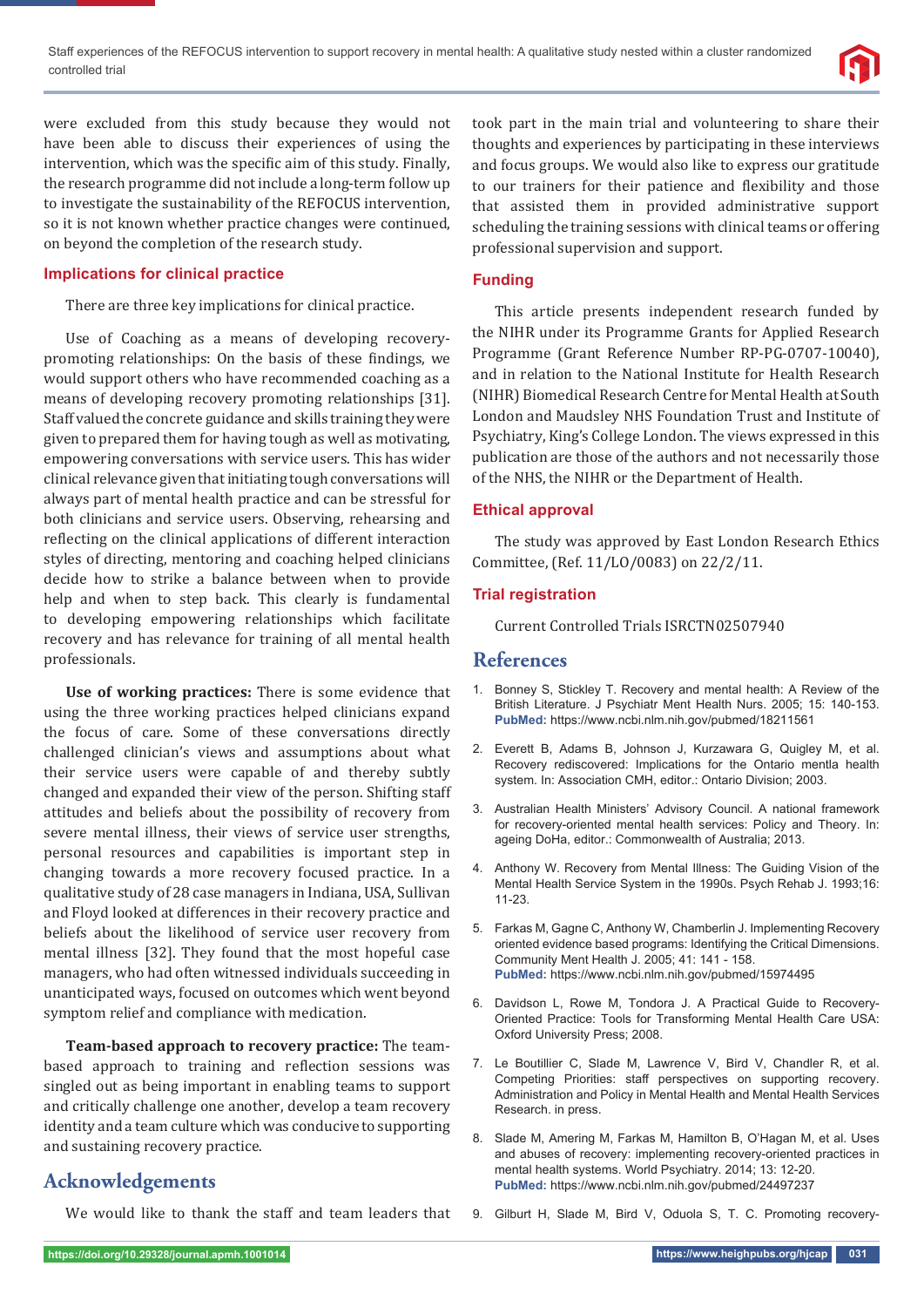

were excluded from this study because they would not have been able to discuss their experiences of using the intervention, which was the specific aim of this study. Finally, the research programme did not include a long-term follow up to investigate the sustainability of the REFOCUS intervention, so it is not known whether practice changes were continued, on beyond the completion of the research study.

## **Implications for clinical practice**

There are three key implications for clinical practice.

Use of Coaching as a means of developing recoverypromoting relationships: On the basis of these findings, we would support others who have recommended coaching as a means of developing recovery promoting relationships [31]. Staff valued the concrete guidance and skills training they were given to prepared them for having tough as well as motivating, empowering conversations with service users. This has wider clinical relevance given that initiating tough conversations will always part of mental health practice and can be stressful for both clinicians and service users. Observing, rehearsing and reflecting on the clinical applications of different interaction styles of directing, mentoring and coaching helped clinicians decide how to strike a balance between when to provide help and when to step back. This clearly is fundamental to developing empowering relationships which facilitate recovery and has relevance for training of all mental health professionals.

**Use of working practices:** There is some evidence that using the three working practices helped clinicians expand the focus of care. Some of these conversations directly challenged clinician's views and assumptions about what their service users were capable of and thereby subtly changed and expanded their view of the person. Shifting staff attitudes and beliefs about the possibility of recovery from severe mental illness, their views of service user strengths, personal resources and capabilities is important step in changing towards a more recovery focused practice. In a qualitative study of 28 case managers in Indiana, USA, Sullivan and Floyd looked at differences in their recovery practice and beliefs about the likelihood of service user recovery from mental illness [32]. They found that the most hopeful case managers, who had often witnessed individuals succeeding in unanticipated ways, focused on outcomes which went beyond symptom relief and compliance with medication.

**Team-based approach to recovery practice:** The teambased approach to training and reflection sessions was singled out as being important in enabling teams to support and critically challenge one another, develop a team recovery identity and a team culture which was conducive to supporting and sustaining recovery practice.

# **Acknowledgements**

We would like to thank the staff and team leaders that

took part in the main trial and volunteering to share their thoughts and experiences by participating in these interviews and focus groups. We would also like to express our gratitude to our trainers for their patience and flexibility and those that assisted them in provided administrative support scheduling the training sessions with clinical teams or offering professional supervision and support.

## **Funding**

This article presents independent research funded by the NIHR under its Programme Grants for Applied Research Programme (Grant Reference Number RP-PG-0707-10040), and in relation to the National Institute for Health Research (NIHR) Biomedical Research Centre for Mental Health at South London and Maudsley NHS Foundation Trust and Institute of Psychiatry, King's College London. The views expressed in this publication are those of the authors and not necessarily those of the NHS, the NIHR or the Department of Health.

### **Ethical approval**

The study was approved by East London Research Ethics Committee, (Ref. 11/LO/0083) on 22/2/11.

### **Trial registration**

Current Controlled Trials ISRCTN02507940

## **References**

- 1. Bonney S, Stickley T. Recovery and mental health: A Review of the British Literature. J Psychiatr Ment Health Nurs. 2005; 15: 140-153. **PubMed:** https://www.ncbi.nlm.nih.gov/pubmed/18211561
- 2. Everett B, Adams B, Johnson J, Kurzawara G, Quigley M, et al. Recovery rediscovered: Implications for the Ontario mentla health system. In: Association CMH, editor.: Ontario Division; 2003.
- 3. Australian Health Ministers' Advisory Council. A national framework for recovery-oriented mental health services: Policy and Theory. In: ageing DoHa, editor.: Commonwealth of Australia; 2013.
- 4. Anthony W. Recovery from Mental Illness: The Guiding Vision of the Mental Health Service System in the 1990s. Psych Rehab J. 1993;16: 11-23.
- 5. Farkas M, Gagne C, Anthony W, Chamberlin J. Implementing Recovery oriented evidence based programs: Identifying the Critical Dimensions. Community Ment Health J. 2005; 41: 141 - 158. **PubMed:** https://www.ncbi.nlm.nih.gov/pubmed/15974495
- 6. Davidson L, Rowe M, Tondora J. A Practical Guide to Recovery-Oriented Practice: Tools for Transforming Mental Health Care USA: Oxford University Press; 2008.
- 7. Le Boutillier C, Slade M, Lawrence V, Bird V, Chandler R, et al. Competing Priorities: staff perspectives on supporting recovery. Administration and Policy in Mental Health and Mental Health Services Research. in press.
- 8. Slade M, Amering M, Farkas M, Hamilton B, O'Hagan M, et al. Uses and abuses of recovery: implementing recovery-oriented practices in mental health systems. World Psychiatry. 2014; 13: 12-20. **PubMed:** https://www.ncbi.nlm.nih.gov/pubmed/24497237
- 9. Gilburt H, Slade M, Bird V, Oduola S, T. C. Promoting recovery-